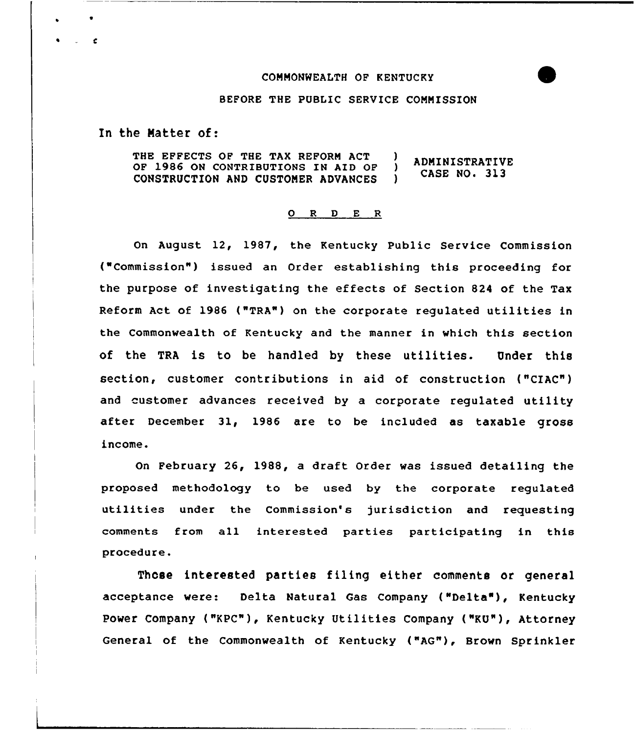## COMMONWEALTH OF KENTUCKY



# BEFORE THE PUBKIC SERVICE COMMISSION

In the Matter of:

 $\epsilon$ 

THE EFFECTS OF THE TAX REFORM ACT ) ADMINISTRATIVE<br>OF 1986 ON CONTRIBUTIONS IN AID OF ) CASE NO. 313<br>CONSTRUCTION AND CUSTOMER ADVANCES ) CASE NO. 313 CASE NO. 313 CONSTRUCTION AND CUSTOMER ADVANCES

#### 0 <sup>R</sup> <sup>D</sup> E <sup>R</sup>

On August 12, 1987, the Kentucky Public Service Commission ("Commission") issued an Order establishing this proceeding for the purpose of investigating the effects of Section 824 of the Tax Reform Act of 1986 ("TRA") on the corporate regulated utilities in the Commonwealth of Kentucky and the manner in which this section of the TRA is to be handled by these utilities. Under this section, customer contributions in aid of construction ("CIAC") and customer advances received by a corporate regulated utility after December 31, 1986 are to be included as taxable gross income.

On February 26, 1988, a draft Order was issued detailing the proposed methodology to be used by the corporate regulated utilities under the Commission's jurisdiction and requesting comments from all interested parties participating in this procedure.

Those intereeted parties filing either comments or general acceptance were: Delta Natural Gas Company ("Delta"), Kentucky Power Company ("KPC"), Kentucky Utilities Company ("KU"), Attorney General of the Commonwealth of Kentucky ("AG"), Brown Sprinkler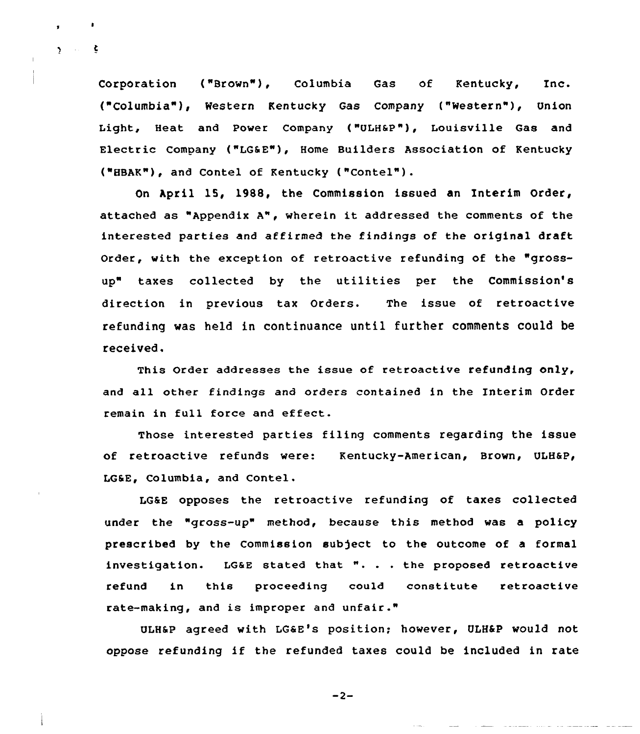Corporation ("Brown"), Columbia Gas of Kentucky, Inc. ("Columbia"), Western Kentucky Gas Company ("Western"), Union Light, Heat and Power Company {"ULH&P"), Louisville Gas and Electric Company ("LG&E"), Home Builders Association of Kentucky ("HBAK"), and Contel of Kentucky {"Contel").

 $2 \times 2$ 

On April 15, 1988, the Commission issued an Interim Order, attached as "Appendix A", wherein it addressed the comments of the interested parties and affirmed the findings of the original draft Order, with the exception of retroactive refunding of the "grossup" taxes collected by the utilities per the Commission's direction in previous tax Orders. The issue of retroactive refunding was held in continuance until further comments could be received,

This Order addresses the issue of retroactive refunding only, and all other findings and orders contained in the Interim Order remain in full force and effect.

Those interested parties filing comments regarding the issue of retroactive refunds were: Kentucky-American, Brown, ULH&p, LG&E, Columbia, and Contel.

LG&E opposes the retroactive refunding of taxes collected under the "gross-up" method, because this method was a policy prescribed by the Commission subject to the outcome of a formal investigation. LG&E stated that ". . . the proposed retroactive refund in this proceeding could constitute retroactive rate-making, and is improper and unfair."

ULH&P agreed with LG&E's position; however, ULH&P would not oppose refunding if the refunded taxes could be included in rate

 $-2-$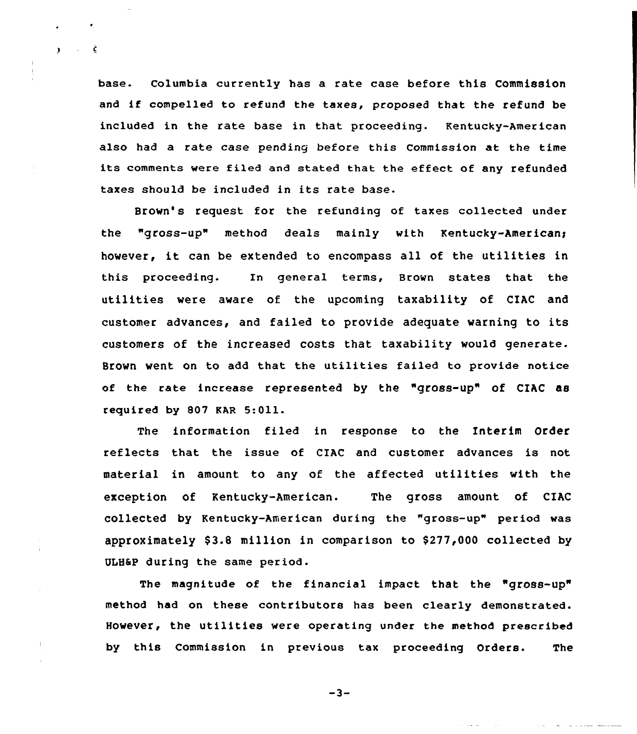base. columbia currently has a rate case before this commission and if compelled to refund the taxes, proposed that the refund be included in the rate base in that proceeding. Kentucky-American also had a rate case pending before this Commission at the time its comments were filed and stated that the effect of any refunded taxes should be included in its rate base.

 $\mathbf{y} = \mathbf{y} - \mathbf{\hat{\xi}}$ 

Brown's request for the refunding of taxes collected under the "gross-up" method deals mainly with Kentucky-Americans however, it can be extended to encompass all of the utilities in this proceeding. In general terms, Brown states that the utilities were aware of the upcoming taxability of CIAC and customer advances, and failed to provide adequate warning to its customers of the increased costs that taxability would generate. Brown went on to add that the utilities failed to provide notice of the rate increase represented by the "gross-up" of CIAC as required by 807 KAR 5:Oll.

The information filed in response to the Interim Order reflects that the issue of CIAC and customer advances is not material in amount to any of the affected utilities with the exception of Kentucky-American. The gross amount of CIAC collected by Kentucky-American during the "gross-up" period was approximately  $$3.8$  million in comparison to  $$277,000$  collected by ULH6P during the same period.

The magnitude of the financial impact that the "gross-up" method had on these contributors has been clearly demonstrated. However, the utilities were operating under the method prescribed by this Commission in previous tax proceeding Orders. The

 $-3-$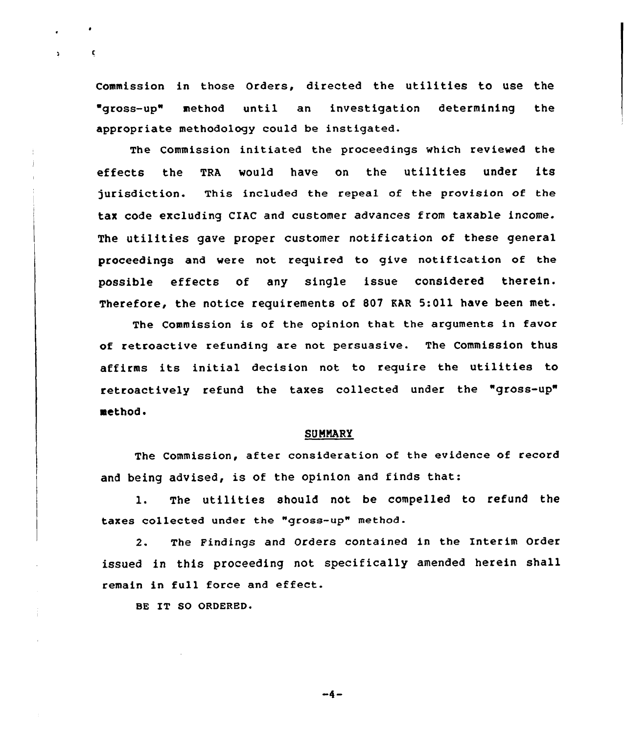Commission in those Orders, directed the utilities to use the gross-up" method until an investigation determining the appropriate methodology could be instigated.

The Commission initiated the proceedings which reviewed the effects the TRA would have on the utilities under its jurisdiction. This included the repeal of the provision of the tax code excluding CIAC and customer advances from taxable income. The utilities gave proper customer notification of these general proceedings and were not required to give notification of the possible effects of any single issue considered therein. Therefore, the notice requirements of 807 EAR 5:011 have been met.

The Commission is of the opinion that the arguments in favor of retroactive refunding are not persuasive. The Commission thus affirms its initial decision not to require the utilities to retroactively refund the taxes collected under the "gross-up" method.

## SUMMARY

The Commission, after consideration of the evidence of record and being advised, is of the opinion and finds that:

1. The utilities should not be compelled to refund the taxes collected under the "gross-up" method.

2. The Findings and Orders contained in the Interim Order issued in this proceeding not specifically amended herein shall remain in full force and effect.

BE IT SO ORDERED.

 $\mathbf{c}$ 

 $-4-$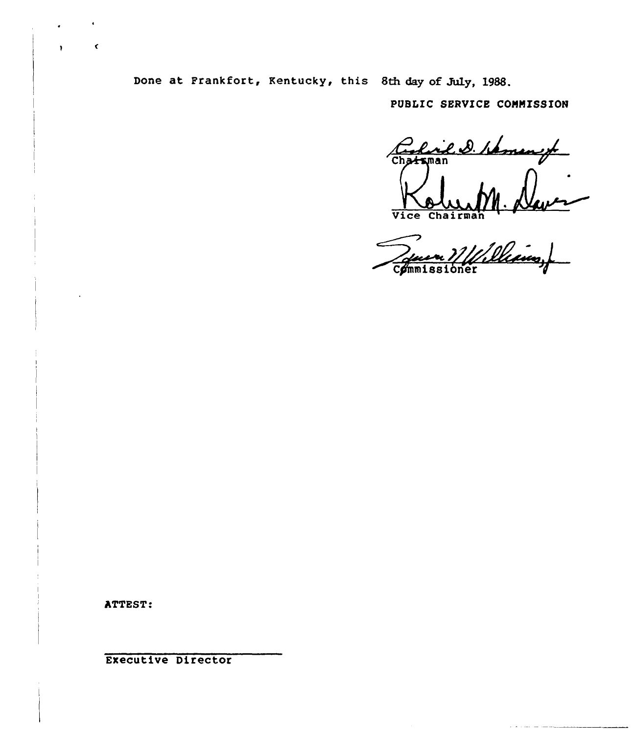Done at Frankfort, Kentucky, this 8th day of July, 1988.

PUBLIC SERVICE COHNISSION

Rich D. / murp Chatsman

Vice Chairman 1 Commissioner

ATTEST:

 $\hat{\mathbf{C}}$ 

Executive Director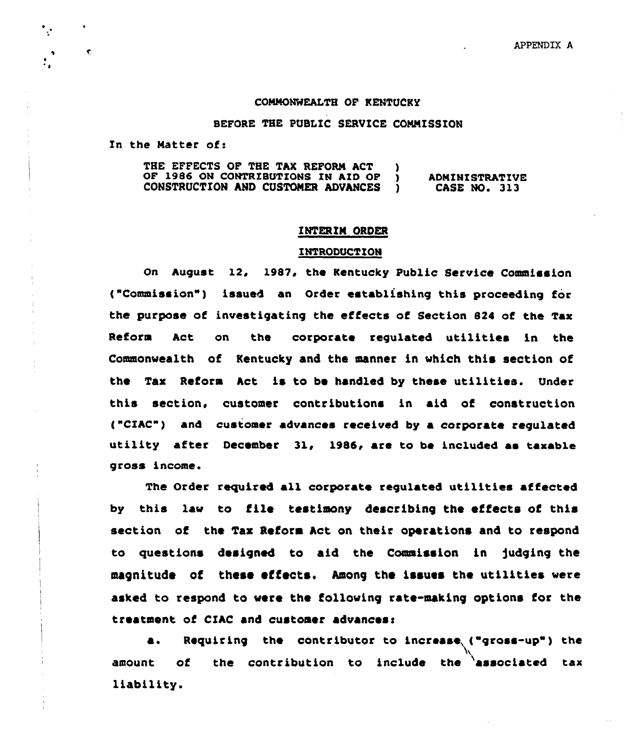#### CONNONWEALTH OF KENTUCKY

## BEFORE THE PUBLIC SERUICE CONNISSION

In the Matter of:

 $\cdot$  .

 $\bullet$ 

THE EFFECTS OF THE TAX REFORM ACT )<br>OF 1986 ON CONTRIBUTIONS IN AID OF ) OF 1986 ON CONTRIBUTIONS IN AID OF  $\overline{)}$  CONSTRUCTION AND CUSTOMER ADVANCES  $\overline{)}$ CONSTRUCTION AND CUSTOMER ADVANCES ADMINISTRATIVE CASE NO. 313

### INTERIM ORDER

## INTRODUCTION

On August 12, 1987, the Kentucky Public Service Commission ("Commission") issued an Order establishing this proceeding for the purpose of investigating the effects of Section 824 of the Tax Reform Act on the corporate regulated utilities in the Commonwealth of Kentucky and the manner in vhich this section of the Tax Reform Act is to be handled by these utilities. Under this section. customer contributions in aid of construction ("CIAC") and customer advances received by a corporate regulated utility after December 31, 1986, are to be included as taxable gross income.

The Order required all corporate requlated utilities affected by this lav to file testimony describing the effects of this section of the Tax Reform Act on their operations and to respond to questions designed to aid the Commission in fudging the magnitude of these effects. Among the issues the utilities were asked to respond to were the following rate-making options for the treatment of CIAC and customer advances:

a. Requiring the contributor to increase ("gross-up") the amount of the contribution to include the associated tax liability.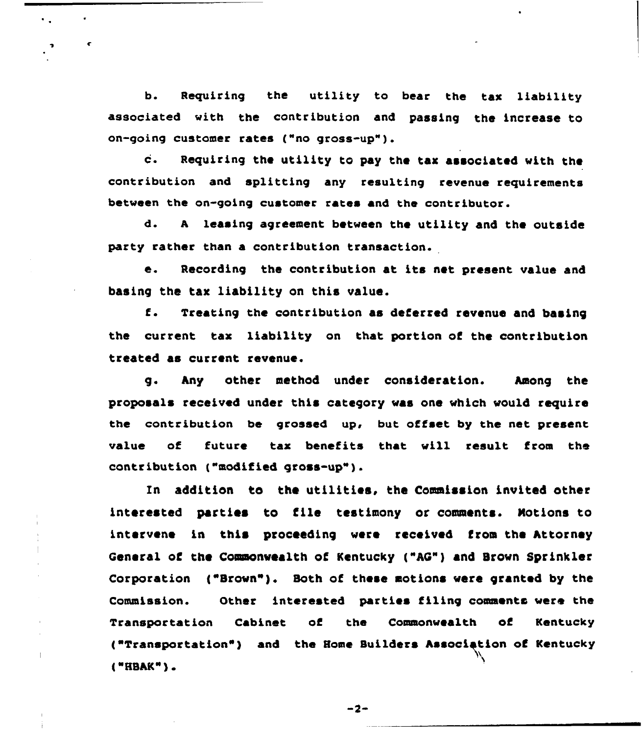b. Requiring the utility to bear the tax liability associated with the contribution and passing the increase to on-going customer rates ("no gross-up").

 $\bullet$ 

¢

٠.

c. Requiring the utility to pay the tax associated with the contribution and splitting any resulting revenue requirements between the on-going customer rates and the contributor.

d. <sup>A</sup> leasing agreement between the utility and the outside party rather than a contribution transaction.

e. Recording the contribution at its net present value and basing the tax liability on this value.

f. Treating the contribution as deferred revenue and basing the current tax liability on that portion of the contribution treated as current revenue.

g. Any other method under consideration. Among the proposals received under this category was one which would require the contribution be grossed up, but offset by the net present value of future tax benefits that will result from the contribution ("modified gross-up").

In addition to the utilities, the Commission invited other interested parties to file testimony or comments. Notions to intervene in this proceeding were received from the Attorney General of the Commonwealth of Kentucky ("AG") and Brown Sprinkler Corporation ("Brown"). Both of these motions were granted by the Commission. Other interested parties filing comments were the Transportation Cabinet of the Commonwealth of Kentucky ]"Transportation") and the Home Builders Associetion of Kentucky ("HBAK").

 $-2-$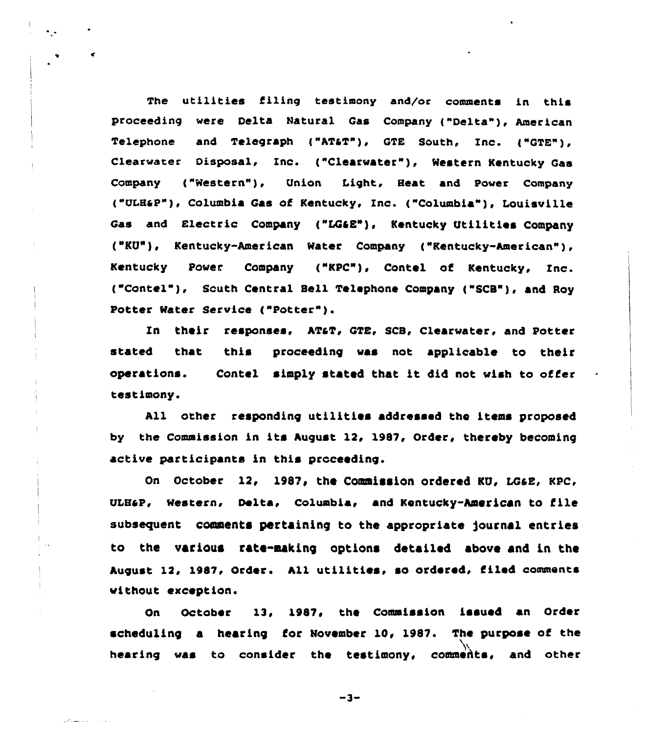The utilities filing testimony and/or comments in this proceeding were Delta Natural Gas Company ("Delta"), American Telephone and Telegraph ("AT&T"), GTE South, Inc. ("GTE"), Clearvater Disposal, Inc. ("Clearvater"), Mestern Kentucky Gas Company ("Western"), Union Light, Heat and Power Company ....<br>("ULH&P"), Columbia Gas of Kentucky, Inc. ("Columbia"), Louisville Inc Gas and Electric Company {"LQ4E"), Kentucky Utilities Company ("KU"). Kentucky-American Mater Company {"Kentucky-American" ), Kentucky Power Company ("KPC"), Contel of Kentucky, Inc. ("Contel"), South Central Bell Telephone Company ("SCB"), and Roy Potter Mater Service ("Potter" ).

In their responses, AT&T, GTE, SCB, Clearwater, and Potter stated that this proceeding vas not applicable to their operations. Contel simply stated that it did not wish to offer testimony.

All other responding utilities addressed the items proposed by the Commission in its August 12, 1987, Order, thereby becoming active participants in this proceeding.

On October 12, 1987, the Commission ordered KU, LG&E, KPC, ULBaP, Mestern, Delta, columbia, and Kentucky-American to file subsequent comments pertaining to the appropriate journal entries to the various rate-aaking options detailed above and in the August 12, 1087, Order. All utilities, so ordeced, filed comments vithout exception.

On October 13. 1082< the Commission issued an Order scheduling a hearing for November 10, 1987. The purpose of the hearing vas to consider the testimony, commehts, and other

 $-3-$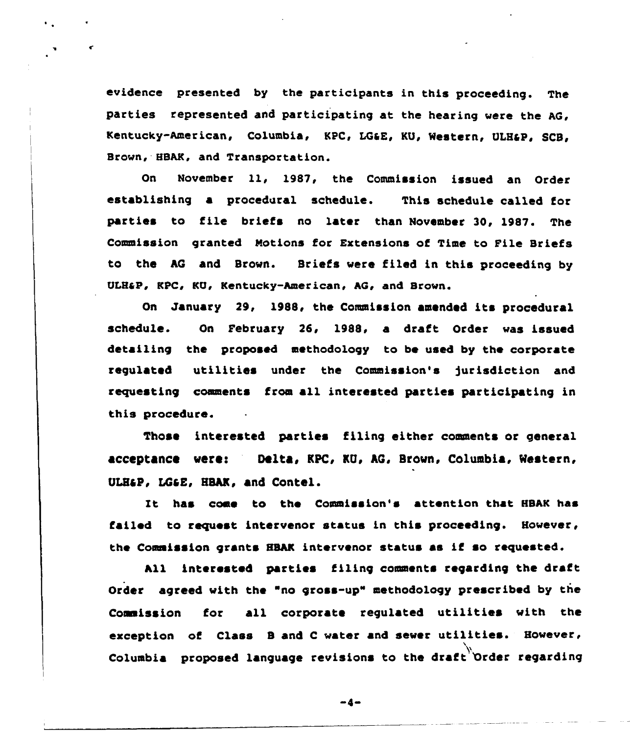evidence presented by the participants in this proceeding. The parties represented and participating at the hearing were the AG, Kentucky-American, Columbia, KPC, LG&E, KU, Western, ULH&P, SCB, Brown, HBAK, and Transportation.

On November ll, 1987, the Commission issued an Order establishing a procedural schedule. This schedule called for parties to file briefs no later than November 30, 1987. The Commission granted Notions for Extensions of Time to Pile Briefs to the hQ and Brown. Briefs were filed in this proceeding by ULH&P, KPC, KU, Kentucky-American, AG, and Brown.

On January 29, 1988, the Commission amended its procedural schedule. On Pebruary 26, 1988, a draft Order was issued detailing the proposed methodology to be used by the corporate requlated utilities under the Commission's jurisdiction and requesting comments from all interested parties participating in this procedure.

Those interested parties filing either comments or general acceptance vere! Delta, KPC, KQ, hG, Brovn, Columbia, Western, ULH&P. LG&E. HBAK. and Contel.

It has come to the Commissin's attention that HSAK has failed to request intervenor status in this proceeding. However, the Commission grants HBAK intervenor status as if so requested.

All interested parties filing comments regarding the draft Order agreed with the "no gross-up" methodology prescribed by the Coaaission for all corporate regulated utilities with the exception of Class <sup>B</sup> and <sup>C</sup> water and sewer utilities. However, Columbia proposed language revisions to the draft Order regarding

 $-4-$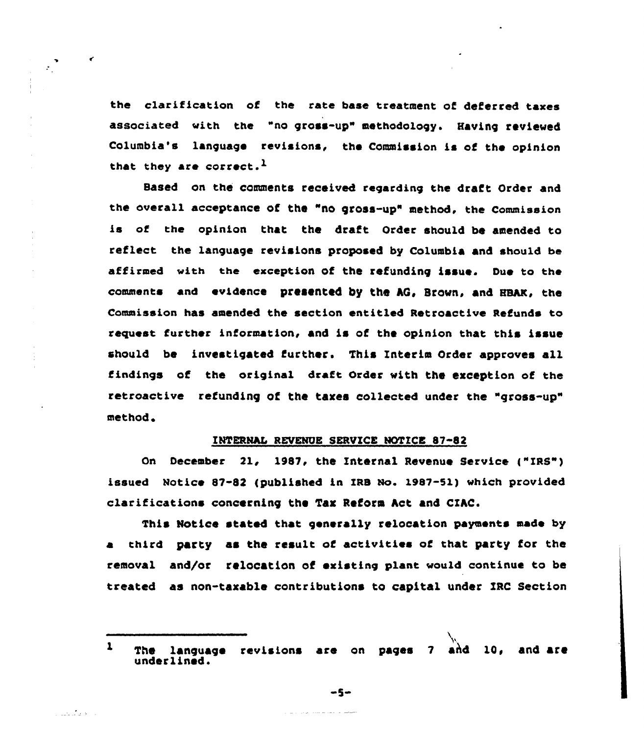the clarification of the rate base treatment of deferred taxes associated with the "no gross-up" methodology. Having reviewed Columbia's Language revisions, the Commission is of the opinion that they are correct.<sup>1</sup>

 $\sum_{i=1}^{n}$ 

 $\epsilon$ 

والمحافظ فليفترض

Based on the comments received regarding the draft Order and the overall acceptance of the "no gross-up" method, the Commission is of the opinion that the draft Order should be amended to reflect the Language revisions proposed by Columbia and should be affirmed with the exception of the refunding issue. Due to the comments and evidence presented by the AG, Brown, and HBAK, the Commission has amended the section entitled Retroactive Refunds to request further information, and is of the opinion that this issue should be investigated further. This Interim Order approves all findings of the original draft Order with the exception of the retroactive refunding of the taxes collected under the "gross-up" method

# INTERNAL REVENUE SERVICE NOTICE 87-82

On December 21, 1987, the Internal Revenue Service ("IRS") issued Notice 87-82 (published in IRB No. I987-51} which provided clarifications concerning the Tax Reform Act and CIhC.

This Notice stated that generally relocation payments made by third party as the result of activities of that party for the removal and/or relocation of existing plant would continue to be treated as non-taxable contributions to capital under XRC Section

 $-5-$ 

The language revisions are on pages 7 and 10, and are  $\mathbf{1}$ under lined.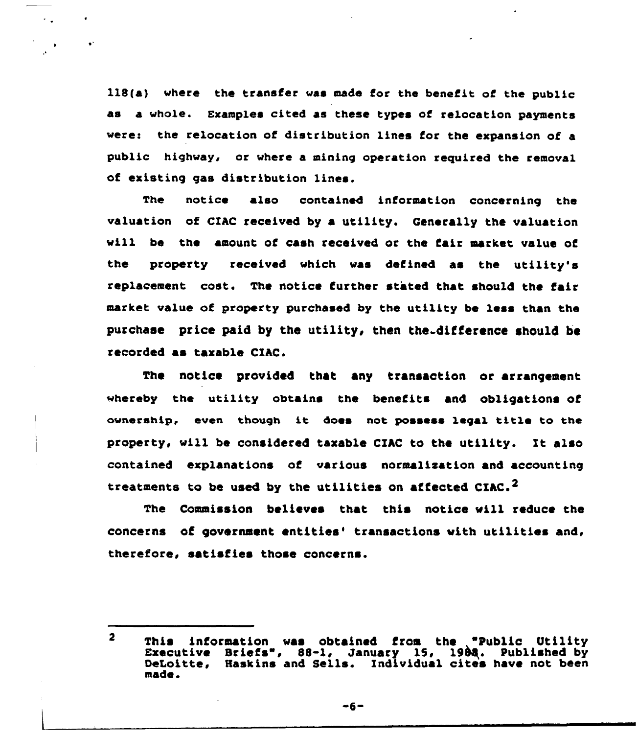118(a) where the transfer was made for the benefit of the public as a whole. Examples cited as these types of relocation payments vere: the relocation of distribution lines for the expansion of a public highway, or vhere a mining operation required the removal of existing gas distribution lines.

 $\sim$  .

 $\ddot{\phantom{a}}$ 

The notice also contained information concerning the valuation of CIAC received by a utility. Generally the valuation will be the amount of cash received or the fair market value of the property received which was defined as the utility's replacement cost. The notice further stated that should the fair market value of property purchased by the utility be less than the purchase price paid by the utility, then the. difference should be recorded as taxable CIAC.

The notice provided that any transaction or arrangement whereby the utility obtains the benefits and obligations of ownership, even though it does not possess legal title to the property, vill be considered taxable CIhC to the utility. It also contained explanations of various normalisation and accounting treatments to be used by the utilities on affected  $CIRC^2$ 

The Commission believes that this notice will reduce the concerns of government entities' transactions with utilities and, therefore, satisfies those concerns.

 $-6-$ 

 $\overline{\mathbf{2}}$ This information was obtained from the "Public Utility Executive Briefs", 88-1, January 15, 1988. Published by DeLoitte, Haskins and Sells. Individual cites have not been made.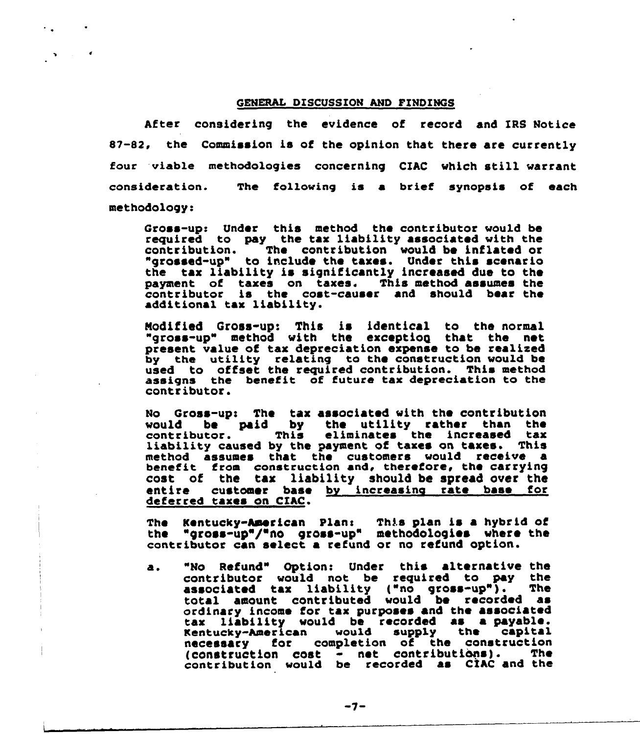### GENERAL DISCUSSION AND FINDINGS

After considering the evidence of record and XRS Notice 87-82, the Commission is of the opinion that there are currently four viable methodologies concerning CZAC which still warrant consideration. methodology: The fo11owing is a brief synopsis of each

Gross-up: Under this method the contributor would be required to pay the tax liability associated with the contribution. The contribution would be inflated or The contribution would be inflated or "grossed-up" to include the taxes. Under this scenario the tax liability is significantly increased due to the the tax liability is significantly increased due to the<br>payment of taxes on taxes. This method assumes the<br>example the state contenuous and about head the contributor is the cost-causer and should bear the additional tax liability.

Nodif ied Gross-up: This is identical to the normal "gross-up" method with the exceptioq that the net present value of tax depreciation expense to be realize by the utility relating to the construction would be used to offset the required contribution. This method assigns the benefit of future tax depreciation to the contributor.

No Gross-ups The tax associated with the contribution would be paid by the utility rather than the<br>contributor. This eliminates the increased tax liability caused by the payment of taxes on taxes. This method assumes that the customers would receive a benefit from construction and, therefore, the carryin cost of the tax liability should be spread over the entire customer base by increasing rate base for deferred taxes on CIAC.

The Kentucky-American Plan: This plan is a hybrid of the "gross-up"/" no gross-up" methodologies where the contributor can select a refund or no refund option.

"No Refund" Option: Under this alternative the a. contributor would not be required to pay the associated tax liability ("no gross-up"). total amount contributed would be recorded as ordinary income for tax purposes and the associated tax liability would be recorded as a payable. Kentucky-American would supply the capital necessary for completion of the construction<br>(construction cost - net contributions). The  $(constant to not  $-\text{net}$  contributions).$ contribution would be recorded as CIAC and the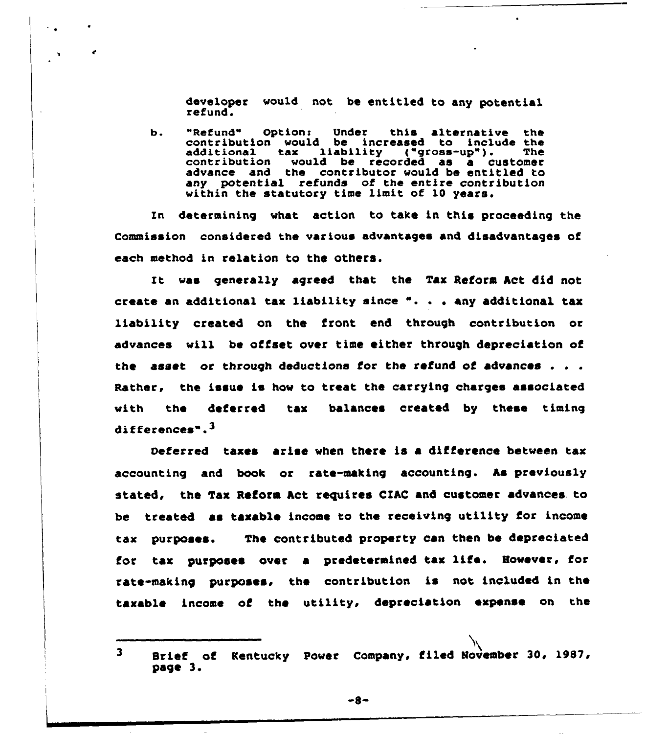developer would not be entitled to any potential refund.

b. "Refund" Option: Under this alternative the<br>contribution would be increased to include the<br>additional tax liability ("gross-up"). The<br>contribution would be recorded as a customer advance and the contributor would be entitled to any potential refunds of the entire contribution within the statutory time limit of 10 years.

 $\ddot{\phantom{a}}$  .

In determining what action to take in this proceeding the Commission considered the various advantages and disadvantages of each method in relation to the others.

It was generally agreed that the Tax Reform Act did not create an additional tax liability since  $" . . . .$  any additional tax liability created on the front end through contribution or advances will be offset over time eithet through depreciation of the asset or through deductions for the refund of advances . . . Rather, the issue is how to treat the carrying charges associated with the deferred tax balances created by these timing differences".<sup>3</sup>

oeferred taxes arise when there is a difference between tax accounting and book or rate-making accounting. As previously stated, the Tax Reform Act requires CIAC and customer advances to be treated as taxable income to the receiving utility for income tax purposes. The contributed property can then be depreciated for tax purposes over a predetermined tax life. However, for rate-making purposes, the contribution is not included in the taxable income of the utility, depreciation expense on the

<sup>3</sup> Brief of Kentucky Power Company, filed November 30, 1987, page 3.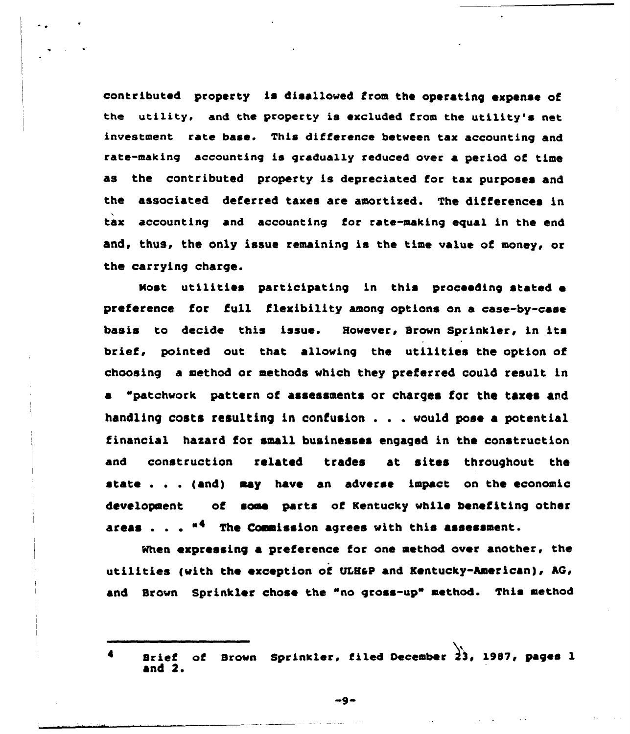contributed property is disallowed from the operating expense of the utility, and the property is excluded from the utility's net investment rate base. This difference between tax accounting and rate-making accounting is gradually reduced over a period of time as the contributed property is depreciated for tax purposes and the associated deferred taxes are amortized. The differences in tax accounting and accounting for rate-making equal in the end and, thus, the only issue remaining is the time value of money, or the carrying charge.

boost utilities participating in this proceeding stated e preference for full flexibility among options on a ease-by-case basis to decide this issue. However, Srovn Sprinkler, in its brief, pointed out that allowing the utilities the option of choosing a method or methods vhich they preferred could result in a "patchwork pattern of assessments or charges for the taxes and handling costs resulting in confusion . . . would pose a potential financial hazard for small businesses engaged in the construction and construction related trades at sites throughout the state . . . {and) may have an adverse impact on the economic development of some parts of Kentucky while benefiting other areas . . .  $^{\#4}$  The Commission agrees with this assessment

When expressing a preference for one method over another, the utilities (with the exception of ULH&P and Kentucky-American), AG, and Brown Sprinkler chose the "no gross-up" method. This method

 $-9-$ 

Brief of Brown Sprinkler, filed December  $\overrightarrow{23}$ , 1987, pages 1  $\blacktriangleleft$ and 2.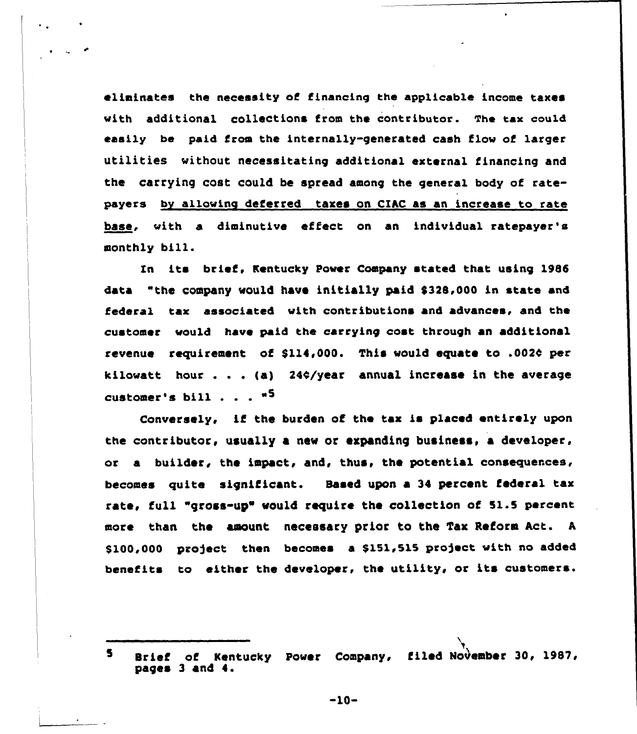eliminates the necessity af financing the applicable income taxes with additional collections from the contributor. The tax could easily be paid from the internally-generated cash flow af larger utilities without necessitating additional external financing and the carrying cost could be spread among the general body of ratepayers bv allowing deferred taxes on CIAC as an increase to rate base, with a diminutive effect on an individual ratepayer's monthly bill.

Zn its brief, Kentucky Paver Campany stated that using 1985 data "the company would have initially paid \$328,000 in state and federal tax associated with cantributions and advances, and the customer would have paid the carrying cost through an additional revenue requirement of \$114,000. This would equate to .002¢ per kilowatt hour . . . (a) 24¢/year annual increase in the average customer's bill . . .  $"$ <sup>5</sup>

Conversely, if the burden of the tax is placed entirely upon the contributor, usually a new or expanding business, a developer. or a builder, the impact, and, thus, the potential consequences, becomes quite significant. Based upon a 34 percent federal tax rate, full "gross-up" would require the collection of 51.5 percent mare than the amount necessary prior to the Tax Reform Act. <sup>A</sup> \$100,000 pxoject then becomes a \$151,515 project with no added benefits to either the developer, the utility, or its customers.

<sup>S</sup> Brief af Kentucky Paver Company, filed November 30, 1987, pages <sup>3</sup> and 4.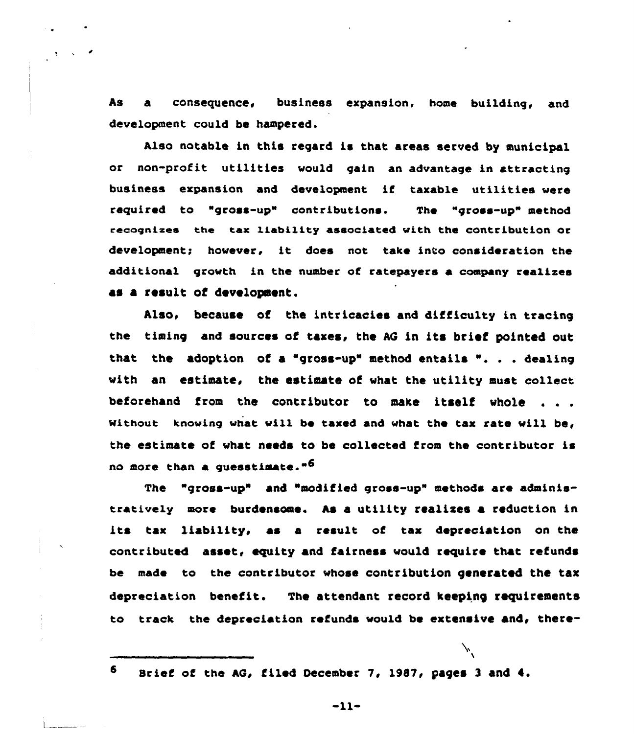As a consequence, business expansion, home building, and development could be hampered.

Also notable in this regard is that areas served by municipal or non-profit utilities vould gain an advantage in attracting business expansion and development if taxable utilities were required to "gross-up" contributions. The "gross-up" method eecagnizes the tax liabiiity associated with the contribution or development; however, it does not take into consideration the additional grovth in the number of ratepayers a company realixes as a result of development.

Also, because of the intricacies and difficulty in tracing the timing and sources of taxes, the AG in its brief pointed out that the adoption of <sup>a</sup> "gross-up" method entails ". . . dealing with an estimate, the estimate of what the utility must collect beforehand from the contributor to make itself whole . . . Without knowing what will be taxed and what the tax rate will be, the estimate of vhat needs to be collected from the contributor is no more than a quesstimate."<sup>6</sup>

The "gross-up" and "modified gross-up" methods are administratively more burdensome. As a utility realises a reduction in its tax liability, as a result of tax depreciation on the contributed asset< equity and fairness vould require that refunds be made to the contributor vhose contribution generated the tax depreciation benefit. The attendant record keeping requirements to track the depreciation refunds would be extensive and, there-

Brief of the AG, filed December 7, 1987, pages 3 and  $4.$ 

6

 $-11-$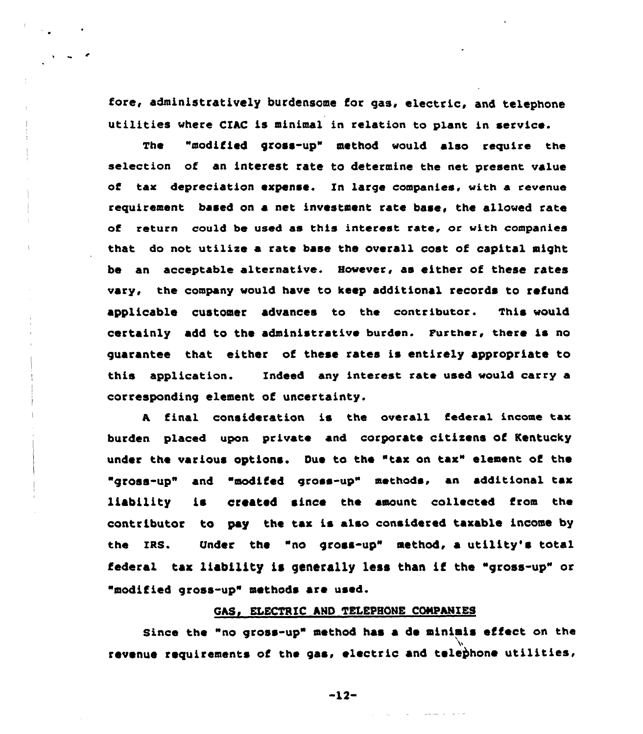fore, administratively butdensome fot gas, electric, and telephone utilities where CIAC is minimal in relation to plant in service.

The "modified gross-up" method would also require the selection of an interest rate to determine the net present value of tax depreciation expense. In large companies, with a revenue requirement based on a net investment rate base, the allowed rate of return could be used as this interest rate, or with companies that do not utilise a rate base the ovetall cost of capital might be an acceptable alternative. However, as either of these rates vary, the company would have to keep additional records to refund applicable customer advances to the contributor. This would certainly add to the administrative burden. Further, there is no guarantee that either of these rates is entirely appropriate to this application. Indeed any interest rate used would carry a corresponding clement of uncertainty.

<sup>A</sup> final considetation is the overall federal income tax burden placed upon private and corporate citisens of Kentucky under the various options. Due to the "tax on tax" element of the "gross-up" and "modifed gross-up" methods, an additional tax liability is created since the amount collected from the contr ibutot to pay the tax is also considered taxable income by the IRS. Under the "no gross-up" method, a utility's total federal tax liability is generally less than if the "gross-up" or "modified gross-up" methods are used

# GAS, ELECTRIC AND TELEPHONE COMPANIES

Since the "no gross-up" method has a de minimis effect on the revenue requirements of the gas, electric and telephone utilities,

 $-12-$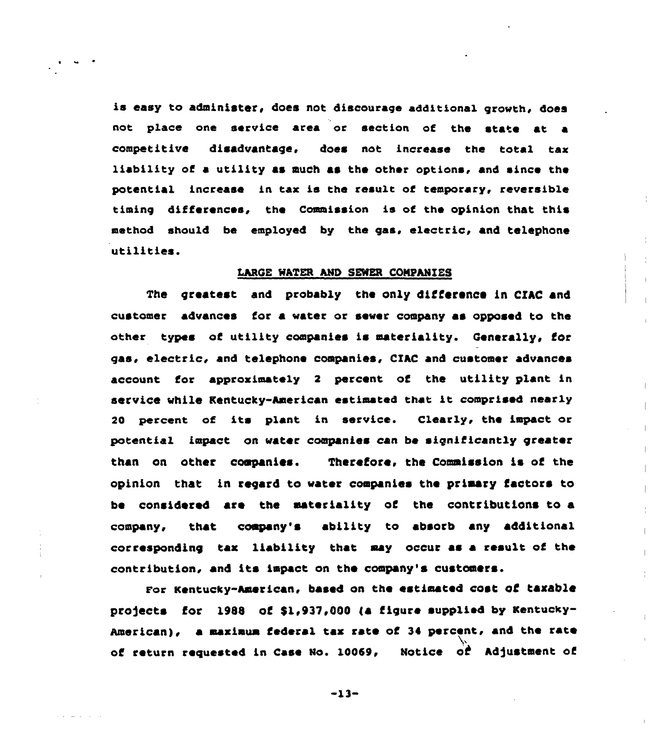is easy to administer, does not discourage additional growth, does not place one service area or section of the state at a competitive disadvantage. does not increase the total tax liability of a utility as much as the other options, and since the potential increase in tax is the result of temporary, reversible timing differences, the Commission is of the opinion that this method should be employed by the gas, electric, and telephone utilities.

### LARGE WATER AND SEWER CONPANZES

The greatest and probably the only difference in CXAC and customer advances for a water or sewer company as opposed to the other types of utility companies is materiality. Generally, for gas, electric, and telephone companies, CIAC and customer advances account for approximately <sup>2</sup> percent of the utility plant in service while Kentucky-American estimated that it comprised nearly <sup>20</sup> percent of its plant in service. Clearly, the impact or potential impact on water companies can be significantly greater than on other companies. Therefore, the Commission is of the opinion that in regard to water companies the primary factors to be considered are the materiality of the contributions to a company, that company's ability to absorb any additions corresponding tax liability that may occur as a result of the contribution, and its impact on the company's customers.

For Kentucky-American, based on the estimated cost of taxable projects for 1988 of \$1,937,000 (a figure supplied by Kentucky-American), a maximum federal tax rate of 34 percent, and the rate of return requested in Case No. 10069, Notice of Adjustment of

 $-13-$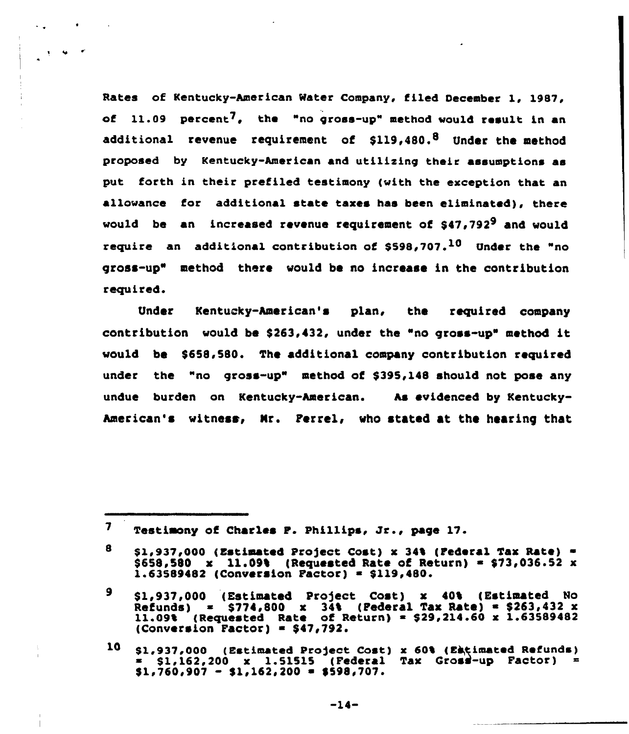Rates of Kentucky-American Mater Company, filed Oecember 1, 1987, of  $11.09$  percent<sup>7</sup>. the "no gross-up" method would result in an additional revenue requirement of \$119,480.<sup>8</sup> Under the method proposed by Kentucky-American and utilizing their assumptions as put forth in their prefiled testimony (with the exception that an allowance for additional state taxes has been eliminated), there would be an increased revenue requirement of \$47,792<sup>9</sup> and would require an additional contribution of \$598,707.<sup>10</sup> Under the "no gross-up" method there would be no increase in the contribution required.

v

Under Kentucky-American's plan, the required company contribution would be \$263.432, under the "no gross-up" method it would be \$658.580. The additional company contribution required under the "no gross-up" method of \$395,148 should not pose any undue burden on Kentucky-American. As evidenced by Kentucky-American's witness, Mr. Perrel, who stated at the hearing that

7 Testimony of Charles P. Phillips, Jr., page 17.

<sup>8</sup>  $$1,937,000$  (Estimated Project Cost) x 34% (Federal Tax Rate) = \$658,580 x 11.09% (Requested Rate ot Return) <sup>~</sup> \$73,036.52 x  $1.63589482$  (Conversion Factor) = \$119,480.

<sup>\$1,937,000 (</sup>Estimated Project Cost) x 40% (Estimated No 9 Refunds) ~ \$774,800 x 34i (Federal Tax Rate) ~ \$263,432 x 11.09% (Requested Rate of Return) ~ \$29,214.60 x 1.63589482  $(Conversion Factor) = $47,792.$ 

<sup>10</sup> \$1,937,000 (Estimated Pro)ect Coat) x 60t (Ekgimated Refunds) \$ 1,162.200 x 1.51515 (Federal Tax Gros'-up Factor)  $$1,760,907 - $1,162,200 = $598,707.$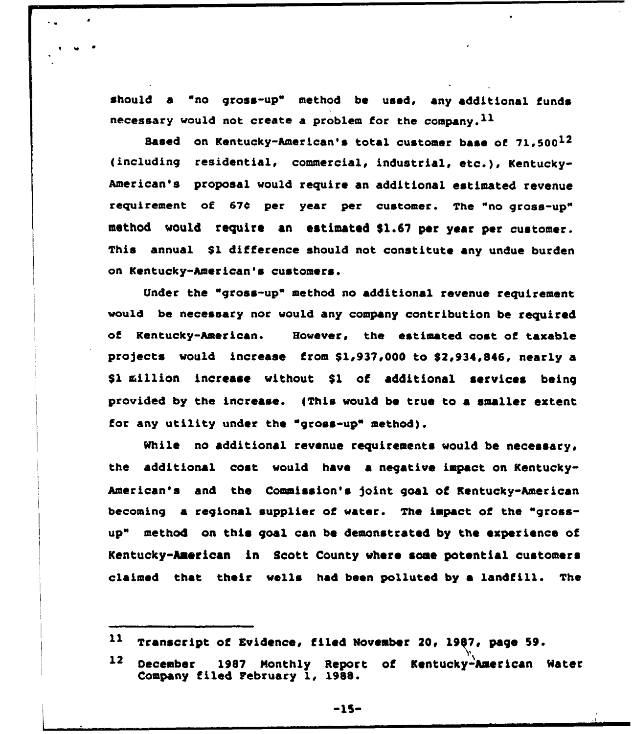should a "no gross-up" method be used, any additional funds necessary would not create a problem for the company.  $^{11}$ 

Based on Kentucky-American's total customer base of  $71.500<sup>12</sup>$ ( including residential, commercial, industria), etc.), Kentucky-American's proposal would require an additional estimated revenue requirement of 67¢ per year per customer. The "no gross-up" method would require an estimated \$1.67 per year per customer. This annual S1 difference should not constitute any undue burden on Kentucky-American's customers.

Under the "gross-up" method no additional revenue requirement would be necessary nor would any company contribution be required of Kentucky-American. However, the estimated cost of taxable projects would increase from \$1,937,000 to \$2,934,846, nearly a \$1 million increase without \$1 of additional services being provided by the increase. {This would be true to a smaller extent for any utility under the "gross-up" method).

While no additional revenue requirements would be necessary, the additional cost would have a negative impact on Kentucky-American's and the Commission's joint goal of Kentucky-American becoming a regional supplier of water. The impact of the "grossup" method on this goal can be demonstrated by the experience of Kentucky-Aaerican in Scott County where some potential customers claimed that their wells had been polluted by a landfill. The

 $\mathbf{11}$ Transcript of Evidence, filed November 20, 1987, page 59.

 $12<sup>7</sup>$ December 1987 Monthly Report of Kentucky-American Water Company filed February 1, 1988.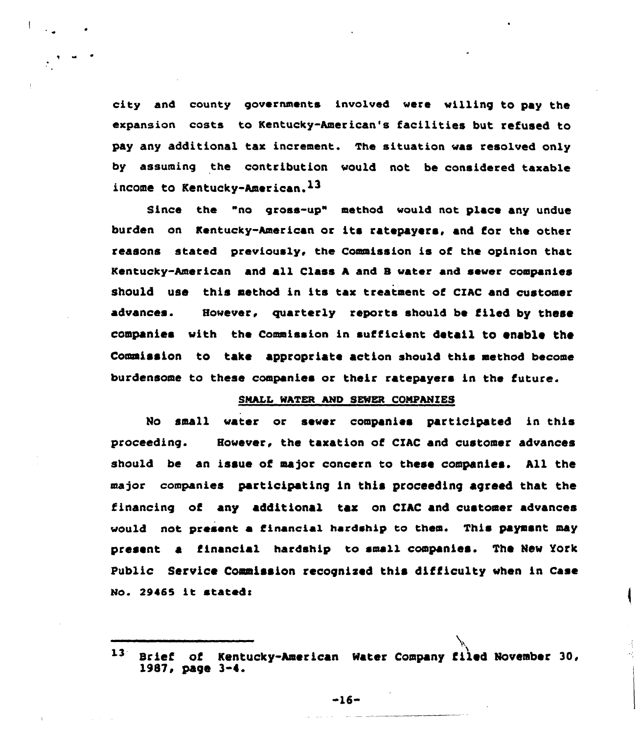city and caunty governments involved vere willing to pay the expansion costs to Kentucky-American's facilities but refused to pay any additional tax increment. The situation vas resolved only by assuming the contribution would not be considered taxable income to Kentucky-American.<sup>13</sup>

Since the "no grass-up" methad would nat place any undue burden on Kentucky-American ar its ratepayers, and for the other reasons stated previously, the Commission is of the opinion that Kentucky-American and all Class <sup>A</sup> and B vater and saver companies should use this method in its tax treatment of CIAC and customer advances. However, quarterly reports should be filed by these companies vith the Cammission in sufficient detail to enable the Commission to take appropriate action should this method become burdensome to these companies or their ratepayers in the future.

# SMALL MATER AND SENER COMPANIES

No small water or sever companies participated in this proceeding. However, the taxation of CIAC and customer advances should be an issue of major concern to these companies. All the major companies participating in this proceeding agreed that the financing of any additianal tar on CZAC and customer advances would not present a financial hardship to them. This payment may present a financial hardship to sma11 companies. The New York Public Service Commission recognised this difficulty vhen in Case No. 29465 it stated:

 $-16-$ 

 $13 -$ Srief of Kentucky-Amer ican Mater Company filed November 30, X987, page 3-4.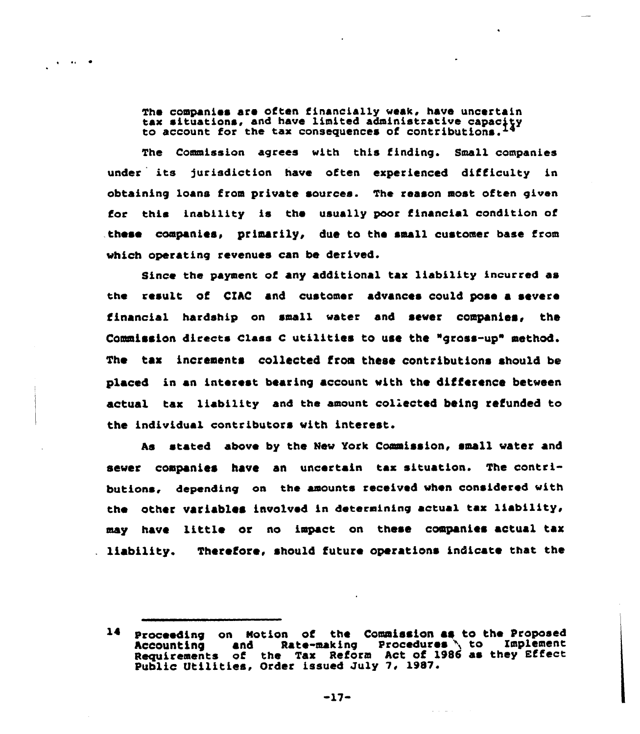The companies are often financially weak, have uncertain tax situations, and have limited administrative capacity to account for the tax consequences of contributions.

 $\frac{1}{2}$  and  $\frac{1}{2}$ 

The Commission agrees with this finding. Small companies under its jurisdiction have often experienced difficulty in obtaining loans from private sources. The reason most often given for this inability is the usually poor financial condition of these companies, primarily, due to the small customer base from vhich operating revenues can be derived.

Since the payment of any additional tax liability incurred as the result of CIAC and customer advances could pose a severe financial hardship on small water and sewer companies, the Commission directs Class C utilities to use the "gross-up" method. The tax increments collected froa these contributions should be placed in an interest bearing account with the difference between actual tax liability and the amount collected being refunded to the individual contributors vith interest.

As stated above by the New York Commission, small water and sewer companies have an uncertain tax-situation. The contributions, depending on the amounts received when considered with the other variables involved in determining actual tax liability, may have little or no impact on these companies actual tax liability. Therefore. should future operations indicate that the

 $-17-$ 

<sup>14</sup> Proceeding on Motion of the Commission as to the Proposed Accounting and Rate-making Procedures to Implement Requirements of the Tax Reform Act of 1986 as they Effect Requirements of the lax Reform ACC of 1<br>Public Utilities, Order issued July 7, 1987.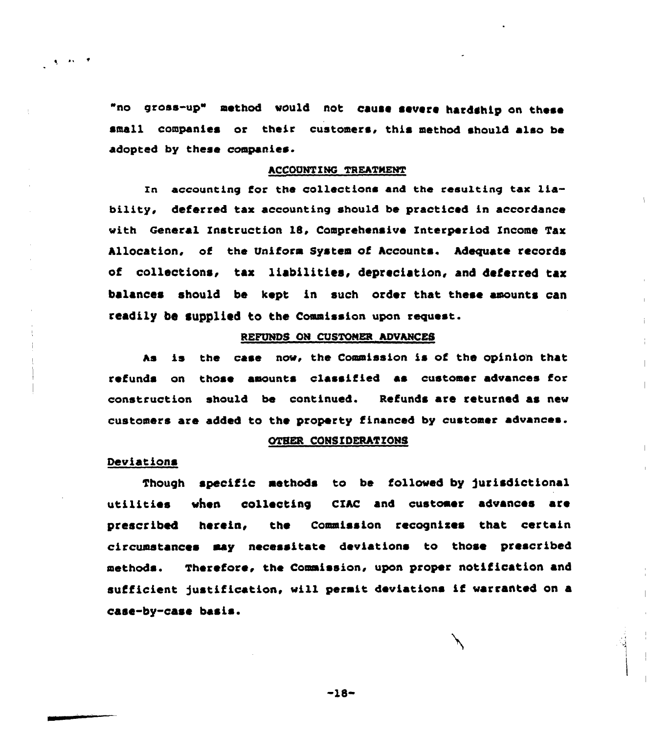"no gross-up" method would not cause severe hardahip on these small companies or their customers. this method should also be adopted by these companies.

# ACCOUNTING TREATMENT

In accounting for the collections and the resulting tax liability, deferred tax accounting should be practiced in accordance vith General Instruction 18, Comprehensive Interperiod Income Tax Allocation. of the Uniform System of Accounts. Adequate records of collections, tax liabilities, depreciation, and deterred tax balances should be kept in such order that these amounts can readily be supplied to the Commission upon request.

# REFUNDS ON CUSTOMER ADVANCES

As is the case nov, the Commission is of the opinion that refunds on those amounts classified as customer advances for construction should be continued. Refunds are returned as new customers are added to the property financed by customer advances.

# OTHER CONSIDERATIONS

### Deviations

 $\mathbf{q} = \mathbf{r} \mathbf{v} - \mathbf{r}$ 

Though specific methods to be followed by jurisdictional utilities when collecting CIAC and customer advances are prescribed herein, the Commission recogniaes that certain circumstances may necessitate deviations to those prescribed methods. Therefore, the Commission, upon proper notification and sufficient justification, will permit deviations if warranted on a case-by-case basis.

 $-18-$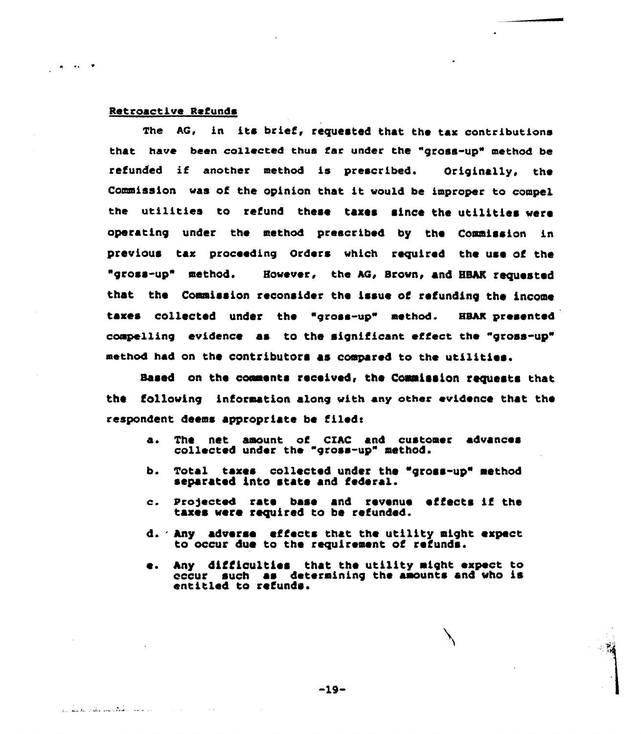## Retroactive Refunds

 $\frac{1}{2}$  and  $\frac{1}{2}$ 

المرابط سناد الشكل وساعدهم والمقاطر المرازي

The AG, in its brief, requested that the tax contributions that have been collected thus far under the "gross-up" method be refunded if another method is prescribed. Originally, the Commission vaa of the opinion that it would be improper to compel the utilitiea to refund these taxes since the utilitiea vere operating under the method prescribed by the Commission in yrevioua tax proceeding Orders which required the uae of the "gross-up" method. However, the AG, Brown, and HBAK requested that the Commission reconsider the issue of refunding the income taxes collected under the "gross-up" method. HBAR presented compelling evidence as to the significant effect the "gross-up" methOd had On the COntributOra aS COmpared tO the utilitiea.

Based on the comments received, the Commission requests that the following information along with any other evidence that the respondent deems appropriate be filed:

- a. The net amount of CZAC and customer advances collected under the "gross-up" method.
- b. Total texas collected under the "gross-up" method separated into state and federal.
- a. pro)ected rate base and revenue effects if the taxea vere required to be refunded.
- d. Any adverse effects that the utility might expect to occur due to the requirement of refunds.
- e. Any difficulties that the utility might expect to occur such as determining the amounts and who is entitled to refunds.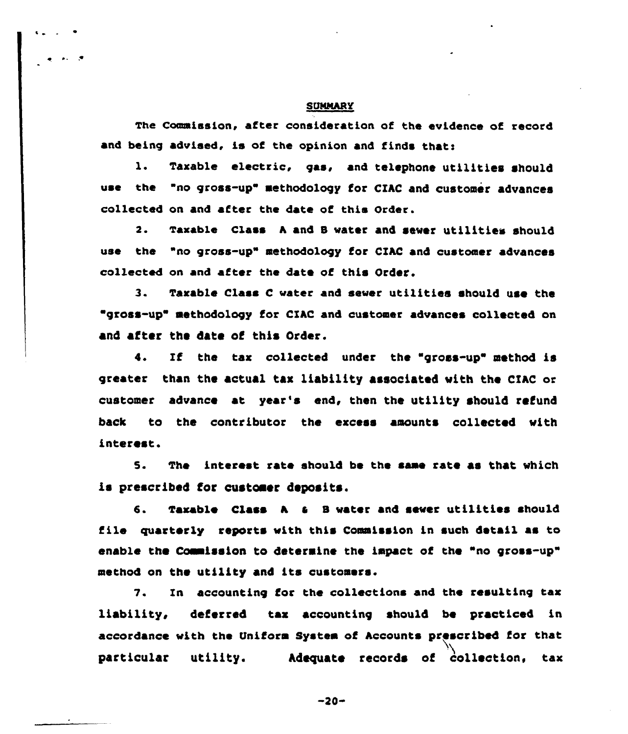### **SUMMARY**

The Commission, after consideration of the evidence of record and being advised, is of the opinion and finds that:

1. Taxable electric, gas, and telephone utilities should use the "no gross-up" methodology for CIAC and customer advances collected on and after the date of this Order.

2. Taxable class <sup>h</sup> and 8 vater and sever utilities should use the "no gross-up" methodology for CIRC and customer advances collected on and after the date of this Order.

3. Taxable Class <sup>C</sup> vater and sever utilities should use the gross-up" methodology for CIAC and customer advances collected on and after the date of this Order.

4. If the tax collected under the "gross-up" method is greater than the actual tax liability associated vith the CIRC or customer advance at year's end, then the utility should refund back to the contributor the excess amounts collected vith interest.

5. The interest rate should be the same rate as that vhich is prescribed for customer deposits.

6. Taxable Class A & B water and sewer utilities should file quarterly reports vith this Commission in such detail as to enable the Commission to determine the impact of the "no gross-up" method on the utility and its customers.

7. In accounting for the collections and the resulting tax liability, deferred tax accounting should be practiced in accordance vith the Uniform System of hccounts prescribed for that particular utility. Adequate records of collection, tax

 $-20-$